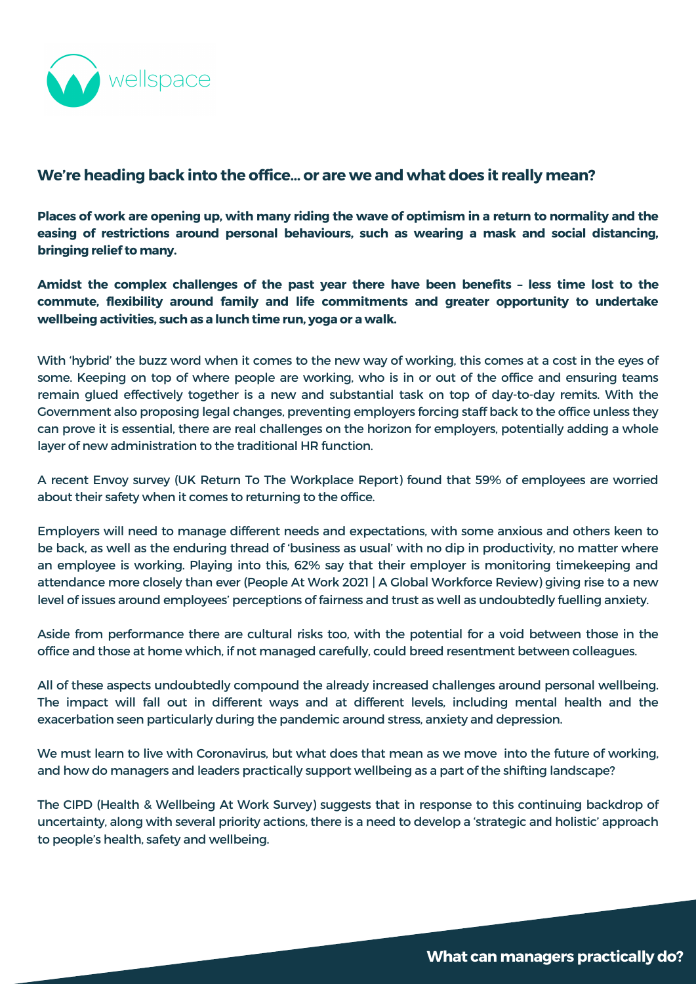With 'hybrid' the buzz word when it comes to the new way of working, this comes at a cost in the eyes of some. Keeping on top of where people are working, who is in or out of the office and ensuring teams remain glued effectively together is a new and substantial task on top of day-to-day remits. With the Government also proposing legal changes, preventing employers forcing staff back to the office unless they can prove it is essential, there are real challenges on the horizon for employers, potentially adding a whole layer of new administration to the traditional HR function.

A recent Envoy survey (UK Return To The [Workplace](https://envoy.com/blog/envoy-survey-finds-hybrid-work-improves-mental-health-for-uk-workers/) Report) found that 59% of employees are worried about their safety when it comes to returning to the office.

Employers will need to manage different needs and expectations, with some anxious and others keen to be back, as well as the enduring thread of 'business as usual' with no dip in productivity, no matter where an employee is working. Playing into this, 62% say that their employer is monitoring timekeeping and attendance more closely than ever (People At Work 2021 | A Global [Workforce](https://www.adpri.org/research/people-at-work-2021-a-global-workforce-view/) Review) giving rise to a new level of issues around employees' perceptions of fairness and trust as well as undoubtedly fuelling anxiety.

Places of work are opening up, with many riding the wave of optimism in a return to normality and the **easing of restrictions around personal behaviours, such as wearing a mask and social distancing, bringing relief to many.**

Aside from performance there are cultural risks too, with the potential for a void between those in the office and those at home which, if not managed carefully, could breed resentment between colleagues.

All of these aspects undoubtedly compound the already increased challenges around personal wellbeing. The impact will fall out in different ways and at different levels, including mental health and the exacerbation seen particularly during the pandemic around stress, anxiety and depression.

We must learn to live with Coronavirus, but what does that mean as we move into the future of working, and how do managers and leaders practically support wellbeing as a part of the shifting landscape?

The CIPD (Health & Wellbeing At Work Survey) suggests that in response to this continuing backdrop of uncertainty, along with several priority actions, there is a need to develop a 'strategic and holistic' approach to people's health, safety and wellbeing.



# **We're heading back into the office… or are we and what does it really mean?**

**TheChallenges commute, flexibility around family and life commitments and greater opportunity to undertake Amidst the complex challenges of the past year there have been benefits – less time lost to the wellbeing activities, such as a lunch time run, yoga or a walk.**